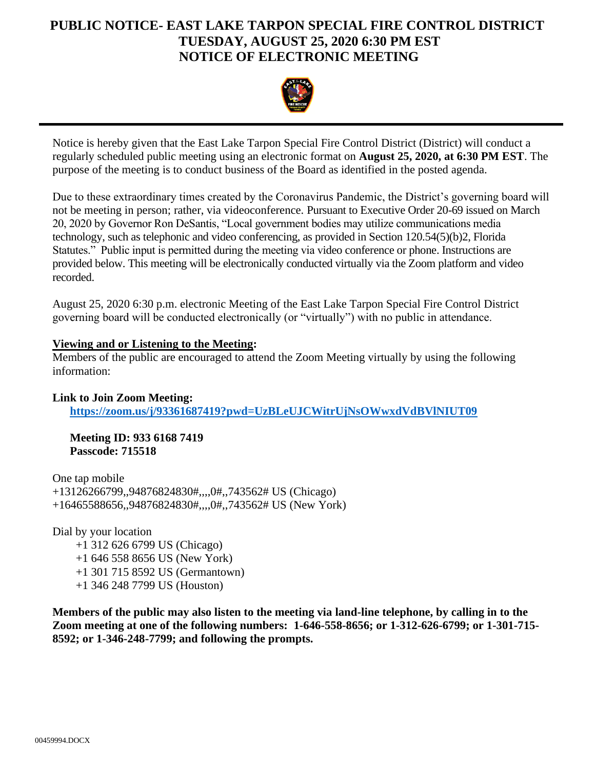## **PUBLIC NOTICE- EAST LAKE TARPON SPECIAL FIRE CONTROL DISTRICT TUESDAY, AUGUST 25, 2020 6:30 PM EST NOTICE OF ELECTRONIC MEETING**



Notice is hereby given that the East Lake Tarpon Special Fire Control District (District) will conduct a regularly scheduled public meeting using an electronic format on **August 25, 2020, at 6:30 PM EST**. The purpose of the meeting is to conduct business of the Board as identified in the posted agenda.

Due to these extraordinary times created by the Coronavirus Pandemic, the District's governing board will not be meeting in person; rather, via videoconference. Pursuant to Executive Order 20-69 issued on March 20, 2020 by Governor Ron DeSantis, "Local government bodies may utilize communications media technology, such as telephonic and video conferencing, as provided in Section 120.54(5)(b)2, Florida Statutes." Public input is permitted during the meeting via video conference or phone. Instructions are provided below. This meeting will be electronically conducted virtually via the Zoom platform and video recorded.

August 25, 2020 6:30 p.m. electronic Meeting of the East Lake Tarpon Special Fire Control District governing board will be conducted electronically (or "virtually") with no public in attendance.

## **Viewing and or Listening to the Meeting:**

Members of the public are encouraged to attend the Zoom Meeting virtually by using the following information:

**Link to Join Zoom Meeting: <https://zoom.us/j/93361687419?pwd=UzBLeUJCWitrUjNsOWwxdVdBVlNIUT09>**

**Meeting ID: 933 6168 7419 Passcode: 715518**

One tap mobile +13126266799,,94876824830#,,,,0#,,743562# US (Chicago) +16465588656,,94876824830#,,,,0#,,743562# US (New York)

Dial by your location

 +1 312 626 6799 US (Chicago) +1 646 558 8656 US (New York) +1 301 715 8592 US (Germantown) +1 346 248 7799 US (Houston)

**Members of the public may also listen to the meeting via land-line telephone, by calling in to the Zoom meeting at one of the following numbers: 1-646-558-8656; or 1-312-626-6799; or 1-301-715- 8592; or 1-346-248-7799; and following the prompts.**